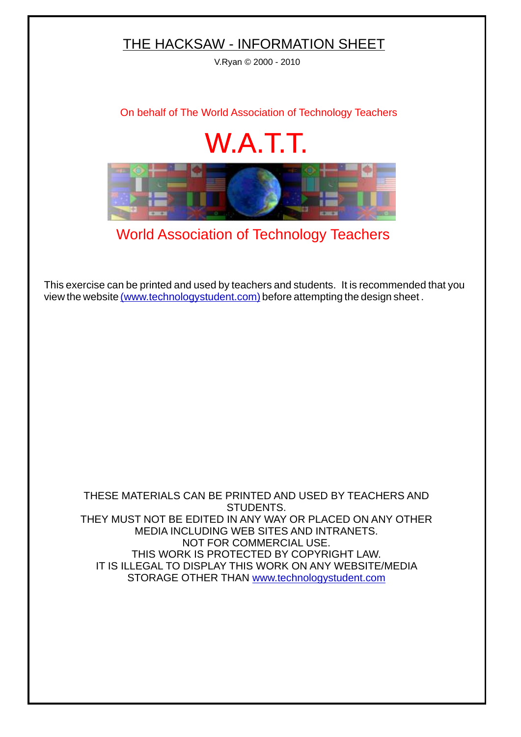